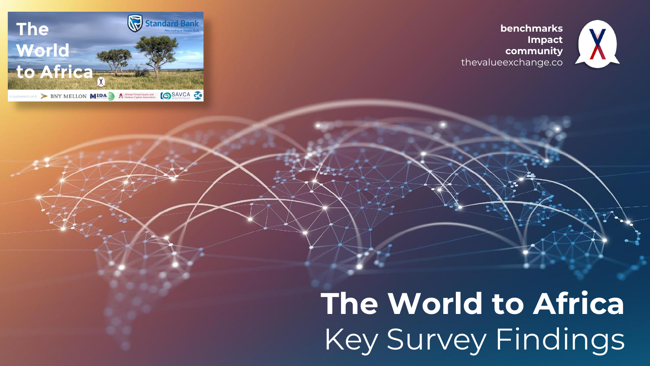



### **benchmarks Import community** Key Survey Findingsthe value of the value **The World to Africa**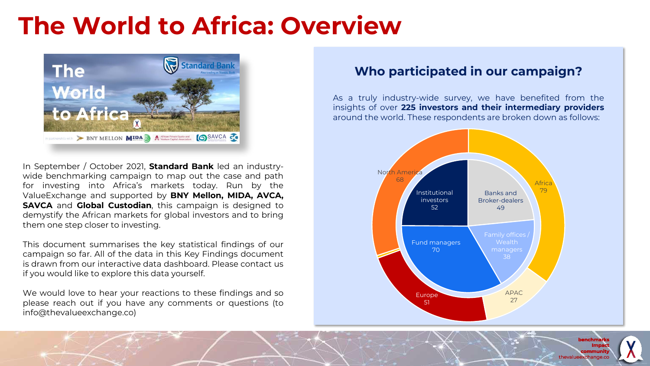## **The World to Africa: Overview**



In September / October 2021, **Standard Bank** led an industrywide benchmarking campaign to map out the case and path for investing into Africa's markets today. Run by the ValueExchange and supported by **BNY Mellon, MIDA, AVCA, SAVCA** and **Global Custodian**, this campaign is designed to demystify the African markets for global investors and to bring them one step closer to investing.

This document summarises the key statistical findings of our campaign so far. All of the data in this Key Findings document is drawn from our interactive data dashboard. Please contact us if you would like to explore this data yourself.

We would love to hear your reactions to these findings and so please reach out if you have any comments or questions (to info@thevalueexchange.co)

### **Who participated in our campaign?**

As a truly industry-wide survey, we have benefited from the insights of over **225 investors and their intermediary providers** around the world. These respondents are broken down as follows:



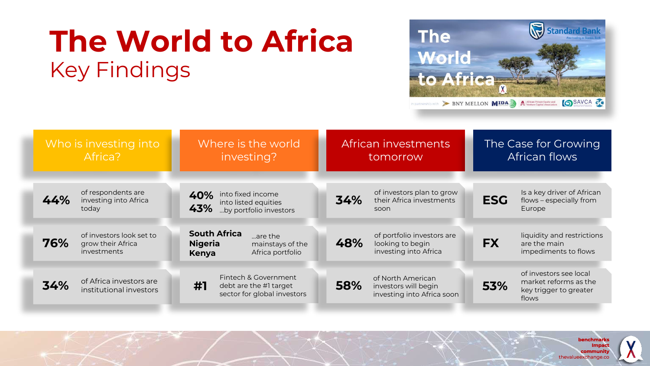# **The World to Africa** Key Findings



| Who is investing into<br>Africa?                                    | Where is the world<br>investing?                                                                         | African investments<br>tomorrow                                                | The Case for Growing<br>African flows                                                     |
|---------------------------------------------------------------------|----------------------------------------------------------------------------------------------------------|--------------------------------------------------------------------------------|-------------------------------------------------------------------------------------------|
| of respondents are<br>44%<br>investing into Africa<br>today         | into fixed income<br>40%<br>into listed equities<br>43%<br>by portfolio investors                        | of investors plan to grow<br>34%<br>their Africa investments<br>soon           | Is a key driver of African<br><b>ESG</b><br>flows - especially from<br>Europe             |
| of investors look set to<br>76%<br>grow their Africa<br>investments | <b>South Africa</b><br>are the<br><b>Nigeria</b><br>mainstays of the<br>Africa portfolio<br><b>Kenya</b> | of portfolio investors are<br>48%<br>looking to begin<br>investing into Africa | liquidity and restrictions<br><b>FX</b><br>are the main<br>impediments to flows           |
| of Africa investors are<br>34%<br>institutional investors           | Fintech & Government<br>#1<br>debt are the #1 target<br>sector for global investors                      | of North American<br>58%<br>investors will begin<br>investing into Africa soon | of investors see local<br>market reforms as the<br>53%<br>key trigger to greater<br>flows |

**benchmarks Impact community** thevalueexchange.co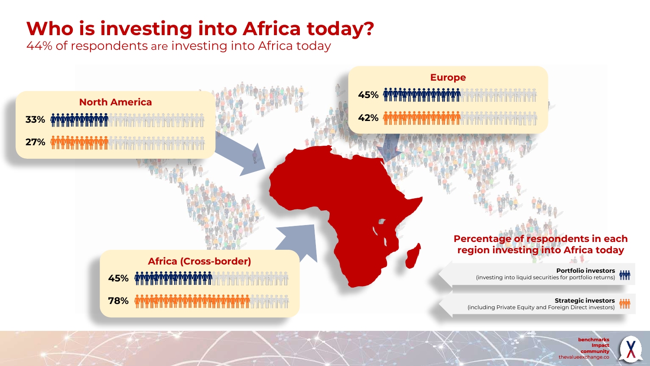### **Who is investing into Africa today?**

44% of respondents are investing into Africa today



**benchmarks Impact community** thevalueexchange.co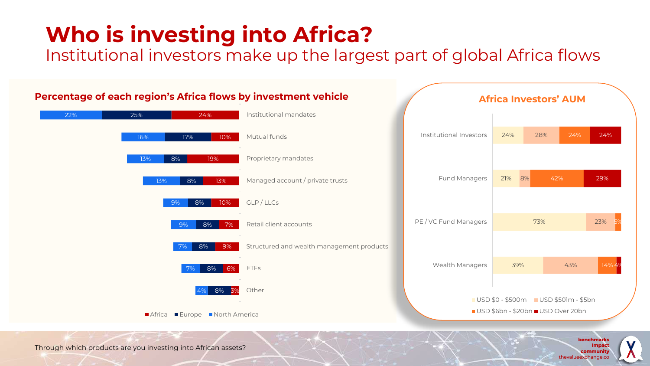## **Who is investing into Africa?**

Institutional investors make up the largest part of global Africa flows



#### **Percentage of each region's Africa flows by investment vehicle**

**benchmarks Impac community** thevalueexchange.co

Through which products are you investing into African assets?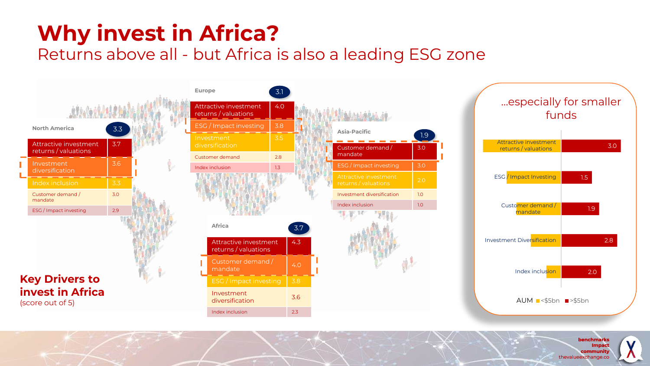## **Why invest in Africa?**

### Returns above all - but Africa is also a leading ESG zone



**benchmarks Impact community** thevalueexchange.co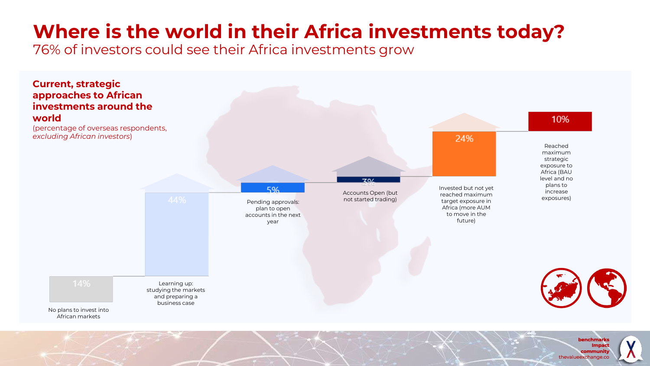## **Where is the world in their Africa investments today?**

76% of investors could see their Africa investments grow



thevalueexchange.co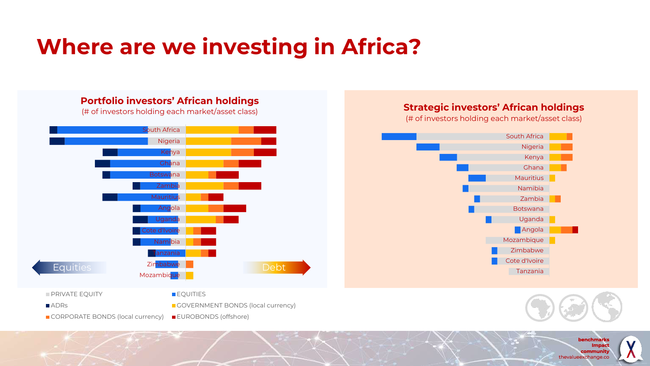## **Where are we investing in Africa?**



■ CORPORATE BONDS (local currency) ■ EUROBONDS (offshore)

**Strategic investors' African holdings**

(# of investors holding each market/asset class)





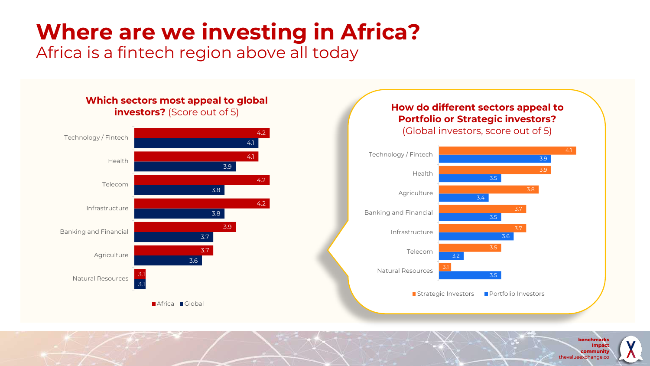## **Where are we investing in Africa?**

Africa is a fintech region above all today



**benchmarks Impac community** thevalueexchange.co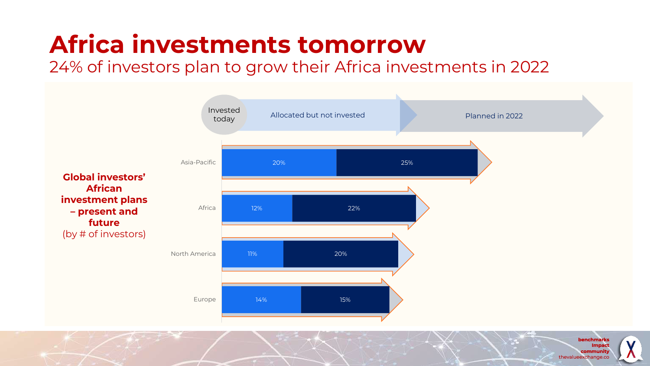## **Africa investments tomorrow**

24% of investors plan to grow their Africa investments in 2022



**benchmark Impact community** thevalueexchange.co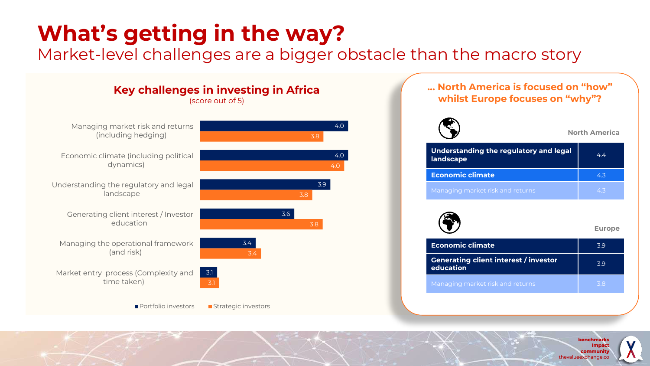## **What's getting in the way?**

Market-level challenges are a bigger obstacle than the macro story



**benchmark Impact community** thevalueexchange.co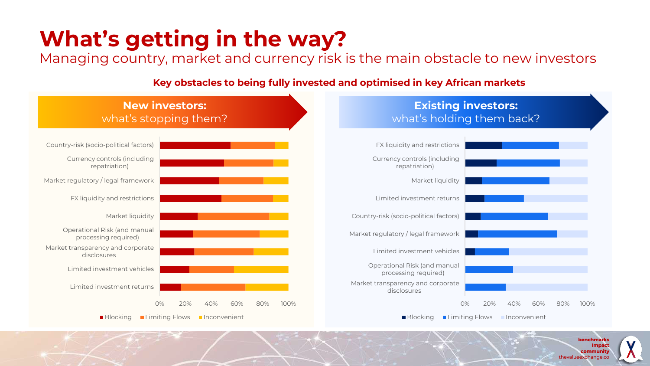## **What's getting in the way?**

Managing country, market and currency risk is the main obstacle to new investors

#### **Key obstacles to being fully invested and optimised in key African markets**



**benchmark Impact community** thevalueexchange.co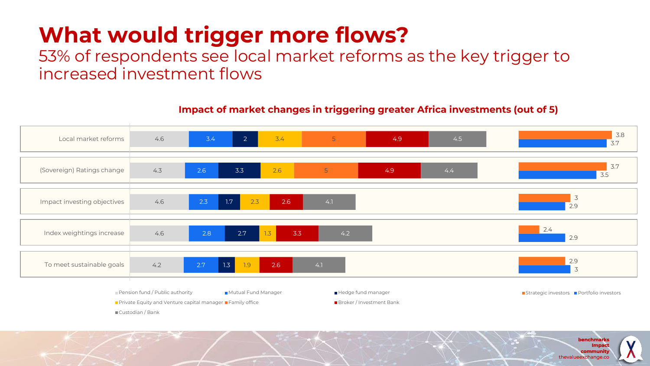## **What would trigger more flows?**

53% of respondents see local market reforms as the key trigger to increased investment flows



**Impact of market changes in triggering greater Africa investments (out of 5)**